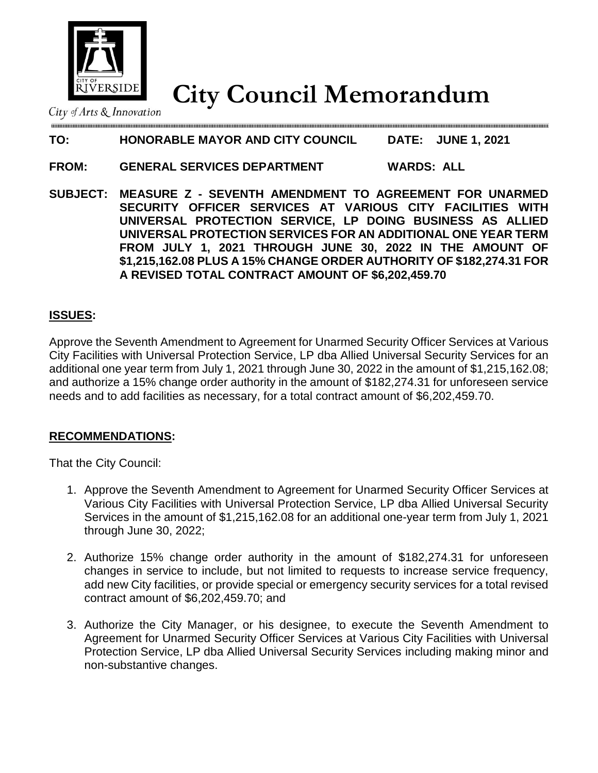

# **City Council Memorandum**

City of Arts & Innovation

# **TO: HONORABLE MAYOR AND CITY COUNCIL DATE: JUNE 1, 2021**

### **FROM: GENERAL SERVICES DEPARTMENT WARDS: ALL**

**SUBJECT: MEASURE Z - SEVENTH AMENDMENT TO AGREEMENT FOR UNARMED SECURITY OFFICER SERVICES AT VARIOUS CITY FACILITIES WITH UNIVERSAL PROTECTION SERVICE, LP DOING BUSINESS AS ALLIED UNIVERSAL PROTECTION SERVICES FOR AN ADDITIONAL ONE YEAR TERM FROM JULY 1, 2021 THROUGH JUNE 30, 2022 IN THE AMOUNT OF \$1,215,162.08 PLUS A 15% CHANGE ORDER AUTHORITY OF \$182,274.31 FOR A REVISED TOTAL CONTRACT AMOUNT OF \$6,202,459.70**

#### **ISSUES:**

Approve the Seventh Amendment to Agreement for Unarmed Security Officer Services at Various City Facilities with Universal Protection Service, LP dba Allied Universal Security Services for an additional one year term from July 1, 2021 through June 30, 2022 in the amount of \$1,215,162.08; and authorize a 15% change order authority in the amount of \$182,274.31 for unforeseen service needs and to add facilities as necessary, for a total contract amount of \$6,202,459.70.

#### **RECOMMENDATIONS:**

That the City Council:

- 1. Approve the Seventh Amendment to Agreement for Unarmed Security Officer Services at Various City Facilities with Universal Protection Service, LP dba Allied Universal Security Services in the amount of \$1,215,162.08 for an additional one-year term from July 1, 2021 through June 30, 2022;
- 2. Authorize 15% change order authority in the amount of \$182,274.31 for unforeseen changes in service to include, but not limited to requests to increase service frequency, add new City facilities, or provide special or emergency security services for a total revised contract amount of \$6,202,459.70; and
- 3. Authorize the City Manager, or his designee, to execute the Seventh Amendment to Agreement for Unarmed Security Officer Services at Various City Facilities with Universal Protection Service, LP dba Allied Universal Security Services including making minor and non-substantive changes.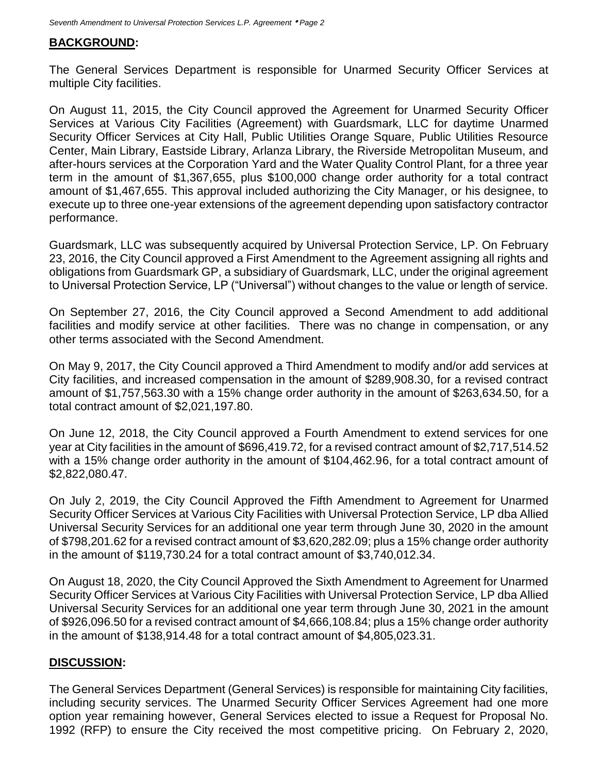#### **BACKGROUND:**

The General Services Department is responsible for Unarmed Security Officer Services at multiple City facilities.

On August 11, 2015, the City Council approved the Agreement for Unarmed Security Officer Services at Various City Facilities (Agreement) with Guardsmark, LLC for daytime Unarmed Security Officer Services at City Hall, Public Utilities Orange Square, Public Utilities Resource Center, Main Library, Eastside Library, Arlanza Library, the Riverside Metropolitan Museum, and after-hours services at the Corporation Yard and the Water Quality Control Plant, for a three year term in the amount of \$1,367,655, plus \$100,000 change order authority for a total contract amount of \$1,467,655. This approval included authorizing the City Manager, or his designee, to execute up to three one-year extensions of the agreement depending upon satisfactory contractor performance.

Guardsmark, LLC was subsequently acquired by Universal Protection Service, LP. On February 23, 2016, the City Council approved a First Amendment to the Agreement assigning all rights and obligations from Guardsmark GP, a subsidiary of Guardsmark, LLC, under the original agreement to Universal Protection Service, LP ("Universal") without changes to the value or length of service.

On September 27, 2016, the City Council approved a Second Amendment to add additional facilities and modify service at other facilities. There was no change in compensation, or any other terms associated with the Second Amendment.

On May 9, 2017, the City Council approved a Third Amendment to modify and/or add services at City facilities, and increased compensation in the amount of \$289,908.30, for a revised contract amount of \$1,757,563.30 with a 15% change order authority in the amount of \$263,634.50, for a total contract amount of \$2,021,197.80.

On June 12, 2018, the City Council approved a Fourth Amendment to extend services for one year at City facilities in the amount of \$696,419.72, for a revised contract amount of \$2,717,514.52 with a 15% change order authority in the amount of \$104,462.96, for a total contract amount of \$2,822,080.47.

On July 2, 2019, the City Council Approved the Fifth Amendment to Agreement for Unarmed Security Officer Services at Various City Facilities with Universal Protection Service, LP dba Allied Universal Security Services for an additional one year term through June 30, 2020 in the amount of \$798,201.62 for a revised contract amount of \$3,620,282.09; plus a 15% change order authority in the amount of \$119,730.24 for a total contract amount of \$3,740,012.34.

On August 18, 2020, the City Council Approved the Sixth Amendment to Agreement for Unarmed Security Officer Services at Various City Facilities with Universal Protection Service, LP dba Allied Universal Security Services for an additional one year term through June 30, 2021 in the amount of \$926,096.50 for a revised contract amount of \$4,666,108.84; plus a 15% change order authority in the amount of \$138,914.48 for a total contract amount of \$4,805,023.31.

#### **DISCUSSION:**

The General Services Department (General Services) is responsible for maintaining City facilities, including security services. The Unarmed Security Officer Services Agreement had one more option year remaining however, General Services elected to issue a Request for Proposal No. 1992 (RFP) to ensure the City received the most competitive pricing. On February 2, 2020,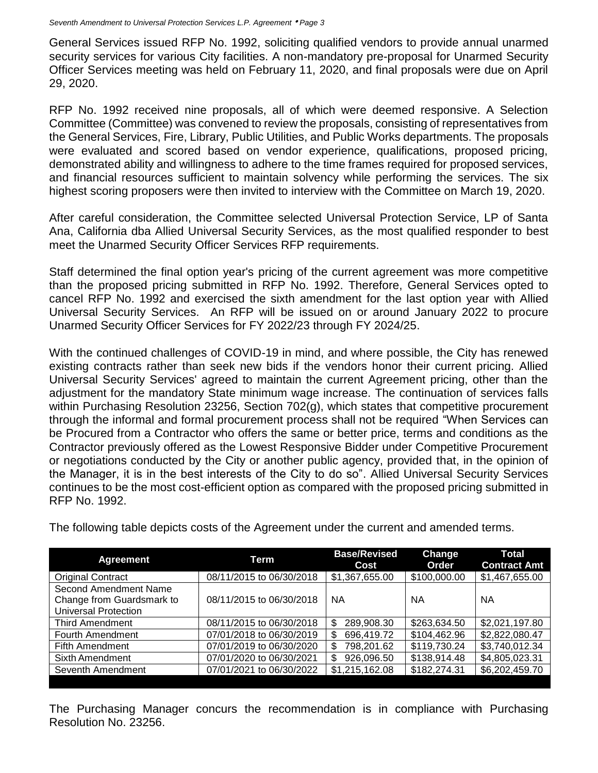General Services issued RFP No. 1992, soliciting qualified vendors to provide annual unarmed security services for various City facilities. A non-mandatory pre-proposal for Unarmed Security Officer Services meeting was held on February 11, 2020, and final proposals were due on April 29, 2020.

RFP No. 1992 received nine proposals, all of which were deemed responsive. A Selection Committee (Committee) was convened to review the proposals, consisting of representatives from the General Services, Fire, Library, Public Utilities, and Public Works departments. The proposals were evaluated and scored based on vendor experience, qualifications, proposed pricing, demonstrated ability and willingness to adhere to the time frames required for proposed services, and financial resources sufficient to maintain solvency while performing the services. The six highest scoring proposers were then invited to interview with the Committee on March 19, 2020.

After careful consideration, the Committee selected Universal Protection Service, LP of Santa Ana, California dba Allied Universal Security Services, as the most qualified responder to best meet the Unarmed Security Officer Services RFP requirements.

Staff determined the final option year's pricing of the current agreement was more competitive than the proposed pricing submitted in RFP No. 1992. Therefore, General Services opted to cancel RFP No. 1992 and exercised the sixth amendment for the last option year with Allied Universal Security Services. An RFP will be issued on or around January 2022 to procure Unarmed Security Officer Services for FY 2022/23 through FY 2024/25.

With the continued challenges of COVID-19 in mind, and where possible, the City has renewed existing contracts rather than seek new bids if the vendors honor their current pricing. Allied Universal Security Services' agreed to maintain the current Agreement pricing, other than the adjustment for the mandatory State minimum wage increase. The continuation of services falls within Purchasing Resolution 23256, Section 702(g), which states that competitive procurement through the informal and formal procurement process shall not be required "When Services can be Procured from a Contractor who offers the same or better price, terms and conditions as the Contractor previously offered as the Lowest Responsive Bidder under Competitive Procurement or negotiations conducted by the City or another public agency, provided that, in the opinion of the Manager, it is in the best interests of the City to do so". Allied Universal Security Services continues to be the most cost-efficient option as compared with the proposed pricing submitted in RFP No. 1992.

| <b>Agreement</b>            | Term                     | <b>Base/Revised</b><br>Cost | Change<br>Order | Total<br><b>Contract Amt</b> |
|-----------------------------|--------------------------|-----------------------------|-----------------|------------------------------|
| <b>Original Contract</b>    | 08/11/2015 to 06/30/2018 | \$1,367,655.00              | \$100,000.00    | \$1,467,655.00               |
| Second Amendment Name       |                          |                             |                 |                              |
| Change from Guardsmark to   | 08/11/2015 to 06/30/2018 | <b>NA</b>                   | NA              | <b>NA</b>                    |
| <b>Universal Protection</b> |                          |                             |                 |                              |
| <b>Third Amendment</b>      | 08/11/2015 to 06/30/2018 | 289,908.30<br>\$            | \$263,634.50    | \$2,021,197.80               |
| Fourth Amendment            | 07/01/2018 to 06/30/2019 | \$<br>696,419.72            | \$104,462.96    | \$2,822,080.47               |
| <b>Fifth Amendment</b>      | 07/01/2019 to 06/30/2020 | 798,201.62<br>\$            | \$119,730.24    | \$3,740,012.34               |
| Sixth Amendment             | 07/01/2020 to 06/30/2021 | 926,096.50<br>\$            | \$138,914.48    | \$4,805,023.31               |
| Seventh Amendment           | 07/01/2021 to 06/30/2022 | \$1,215,162.08              | \$182,274.31    | \$6,202,459.70               |
|                             |                          |                             |                 |                              |

The following table depicts costs of the Agreement under the current and amended terms.

The Purchasing Manager concurs the recommendation is in compliance with Purchasing Resolution No. 23256.